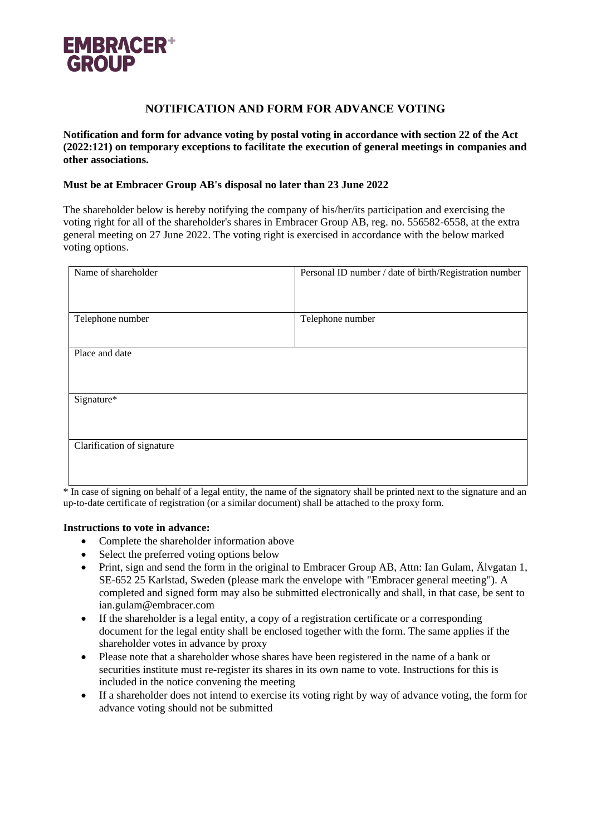

## **NOTIFICATION AND FORM FOR ADVANCE VOTING**

**Notification and form for advance voting by postal voting in accordance with section 22 of the Act (2022:121) on temporary exceptions to facilitate the execution of general meetings in companies and other associations.**

## **Must be at Embracer Group AB's disposal no later than 23 June 2022**

The shareholder below is hereby notifying the company of his/her/its participation and exercising the voting right for all of the shareholder's shares in Embracer Group AB, reg. no. 556582-6558, at the extra general meeting on 27 June 2022. The voting right is exercised in accordance with the below marked voting options.

| Name of shareholder        | Personal ID number / date of birth/Registration number |
|----------------------------|--------------------------------------------------------|
| Telephone number           | Telephone number                                       |
| Place and date             |                                                        |
| Signature*                 |                                                        |
| Clarification of signature |                                                        |

\* In case of signing on behalf of a legal entity, the name of the signatory shall be printed next to the signature and an up-to-date certificate of registration (or a similar document) shall be attached to the proxy form.

## **Instructions to vote in advance:**

- Complete the shareholder information above
- Select the preferred voting options below
- Print, sign and send the form in the original to Embracer Group AB, Attn: Ian Gulam, Älvgatan 1, SE-652 25 Karlstad, Sweden (please mark the envelope with "Embracer general meeting"). A completed and signed form may also be submitted electronically and shall, in that case, be sent to ian.gulam@embracer.com
- If the shareholder is a legal entity, a copy of a registration certificate or a corresponding document for the legal entity shall be enclosed together with the form. The same applies if the shareholder votes in advance by proxy
- Please note that a shareholder whose shares have been registered in the name of a bank or securities institute must re-register its shares in its own name to vote. Instructions for this is included in the notice convening the meeting
- If a shareholder does not intend to exercise its voting right by way of advance voting, the form for advance voting should not be submitted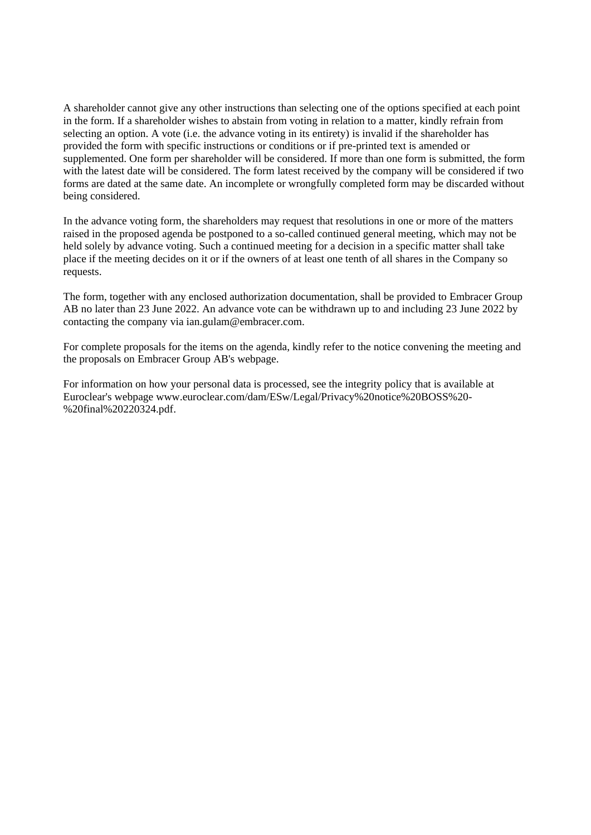A shareholder cannot give any other instructions than selecting one of the options specified at each point in the form. If a shareholder wishes to abstain from voting in relation to a matter, kindly refrain from selecting an option. A vote (i.e. the advance voting in its entirety) is invalid if the shareholder has provided the form with specific instructions or conditions or if pre-printed text is amended or supplemented. One form per shareholder will be considered. If more than one form is submitted, the form with the latest date will be considered. The form latest received by the company will be considered if two forms are dated at the same date. An incomplete or wrongfully completed form may be discarded without being considered.

In the advance voting form, the shareholders may request that resolutions in one or more of the matters raised in the proposed agenda be postponed to a so-called continued general meeting, which may not be held solely by advance voting. Such a continued meeting for a decision in a specific matter shall take place if the meeting decides on it or if the owners of at least one tenth of all shares in the Company so requests.

The form, together with any enclosed authorization documentation, shall be provided to Embracer Group AB no later than 23 June 2022. An advance vote can be withdrawn up to and including 23 June 2022 by contacting the company via ian.gulam@embracer.com.

For complete proposals for the items on the agenda, kindly refer to the notice convening the meeting and the proposals on Embracer Group AB's webpage.

For information on how your personal data is processed, see the integrity policy that is available at Euroclear's webpage www.euroclear.com/dam/ESw/Legal/Privacy%20notice%20BOSS%20- %20final%20220324.pdf.